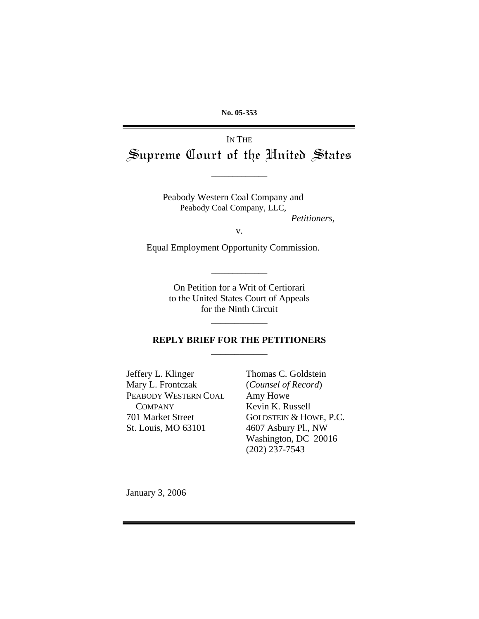**No. 05-353**

# IN THE Supreme Court of the United States

\_\_\_\_\_\_\_\_\_\_\_\_\_

Peabody Western Coal Company and Peabody Coal Company, LLC,  *Petitioners*,

v.

Equal Employment Opportunity Commission.

On Petition for a Writ of Certiorari to the United States Court of Appeals for the Ninth Circuit

\_\_\_\_\_\_\_\_\_\_\_\_\_

#### **REPLY BRIEF FOR THE PETITIONERS**   $\overline{\phantom{a}}$

\_\_\_\_\_\_\_\_\_\_\_\_

Jeffery L. Klinger Mary L. Frontczak PEABODY WESTERN COAL **COMPANY** 701 Market Street St. Louis, MO 63101

Thomas C. Goldstein (*Counsel of Record*) Amy Howe Kevin K. Russell GOLDSTEIN & HOWE, P.C. 4607 Asbury Pl., NW Washington, DC 20016 (202) 237-7543

January 3, 2006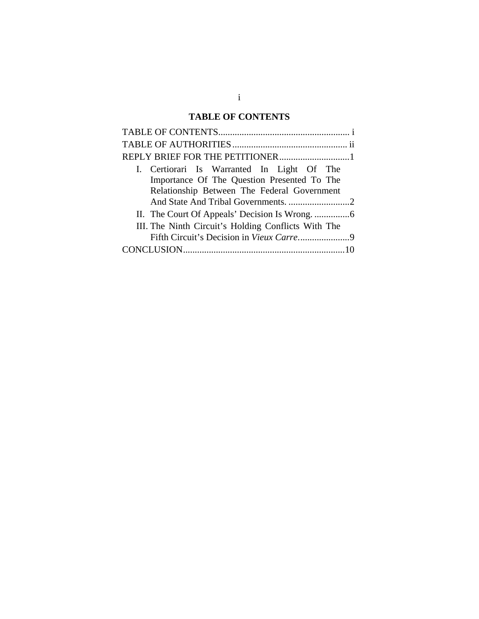## **TABLE OF CONTENTS**

<span id="page-1-0"></span>

| I. Certiorari Is Warranted In Light Of The          |  |  |  |  |  |
|-----------------------------------------------------|--|--|--|--|--|
| Importance Of The Question Presented To The         |  |  |  |  |  |
| Relationship Between The Federal Government         |  |  |  |  |  |
|                                                     |  |  |  |  |  |
|                                                     |  |  |  |  |  |
| III. The Ninth Circuit's Holding Conflicts With The |  |  |  |  |  |
|                                                     |  |  |  |  |  |
|                                                     |  |  |  |  |  |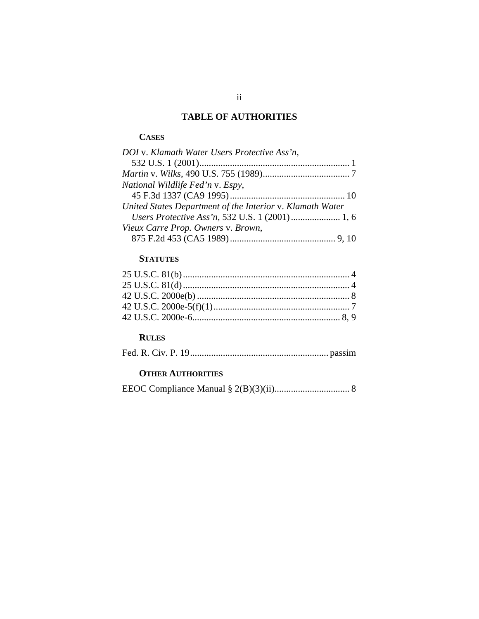## **TABLE OF AUTHORITIES**

#### <span id="page-2-0"></span>**CASES**

| DOI v. Klamath Water Users Protective Ass'n,              |  |
|-----------------------------------------------------------|--|
|                                                           |  |
|                                                           |  |
| National Wildlife Fed'n v. Espy,                          |  |
|                                                           |  |
| United States Department of the Interior v. Klamath Water |  |
|                                                           |  |
| Vieux Carre Prop. Owners v. Brown,                        |  |
|                                                           |  |

## **STATUTES**

## **RULES**

## **OTHER AUTHORITIES**

|--|--|--|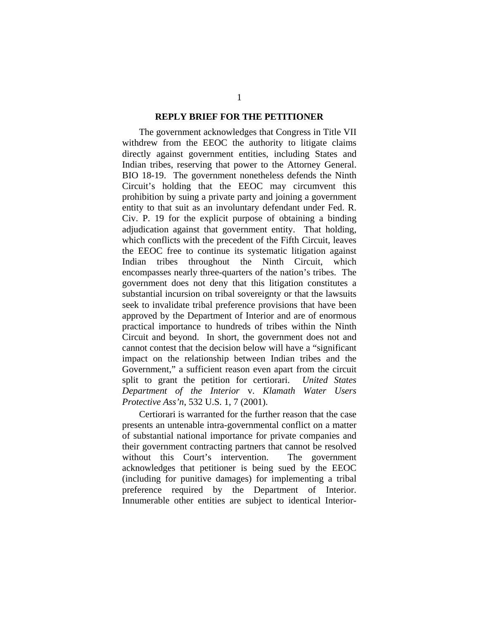#### **REPLY BRIEF FOR THE PETITIONER**

<span id="page-3-0"></span>The government acknowledges that Congress in Title VII withdrew from the EEOC the authority to litigate claims directly against government entities, including States and Indian tribes, reserving that power to the Attorney General. BIO 18-19. The government nonetheless defends the Ninth Circuit's holding that the EEOC may circumvent this prohibition by suing a private party and joining a government entity to that suit as an involuntary defendant under Fed. R. Civ. P. 19 for the explicit purpose of obtaining a binding adjudication against that government entity. That holding, which conflicts with the precedent of the Fifth Circuit, leaves the EEOC free to continue its systematic litigation against Indian tribes throughout the Ninth Circuit, which encompasses nearly three-quarters of the nation's tribes. The government does not deny that this litigation constitutes a substantial incursion on tribal sovereignty or that the lawsuits seek to invalidate tribal preference provisions that have been approved by the Department of Interior and are of enormous practical importance to hundreds of tribes within the Ninth Circuit and beyond. In short, the government does not and cannot contest that the decision below will have a "significant impact on the relationship between Indian tribes and the Government," a sufficient reason even apart from the circuit split to grant the petition for certiorari. *United States Department of the Interior* v. *Klamath Water Users Protective Ass'n*, 532 U.S. 1, 7 (2001).

Certiorari is warranted for the further reason that the case presents an untenable intra-governmental conflict on a matter of substantial national importance for private companies and their government contracting partners that cannot be resolved without this Court's intervention. The government acknowledges that petitioner is being sued by the EEOC (including for punitive damages) for implementing a tribal preference required by the Department of Interior. Innumerable other entities are subject to identical Interior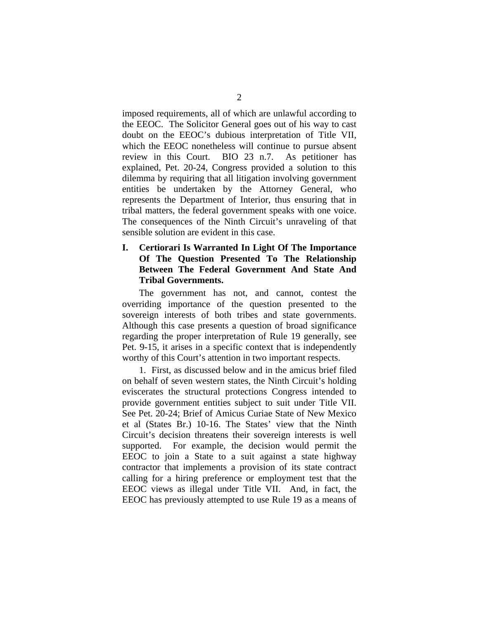<span id="page-4-0"></span>imposed requirements, all of which are unlawful according to the EEOC. The Solicitor General goes out of his way to cast doubt on the EEOC's dubious interpretation of Title VII, which the EEOC nonetheless will continue to pursue absent review in this Court. BIO 23 n.7. As petitioner has explained, Pet. 20-24, Congress provided a solution to this dilemma by requiring that all litigation involving government entities be undertaken by the Attorney General, who represents the Department of Interior, thus ensuring that in tribal matters, the federal government speaks with one voice. The consequences of the Ninth Circuit's unraveling of that sensible solution are evident in this case.

#### **I. Certiorari Is Warranted In Light Of The Importance Of The Question Presented To The Relationship Between The Federal Government And State And Tribal Governments.**

The government has not, and cannot, contest the overriding importance of the question presented to the sovereign interests of both tribes and state governments. Although this case presents a question of broad significance regarding the proper interpretation of Rule 19 generally, see Pet. 9-15, it arises in a specific context that is independently worthy of this Court's attention in two important respects.

1. First, as discussed below and in the amicus brief filed on behalf of seven western states, the Ninth Circuit's holding eviscerates the structural protections Congress intended to provide government entities subject to suit under Title VII. See Pet. 20-24; Brief of Amicus Curiae State of New Mexico et al (States Br.) 10-16. The States' view that the Ninth Circuit's decision threatens their sovereign interests is well supported. For example, the decision would permit the EEOC to join a State to a suit against a state highway contractor that implements a provision of its state contract calling for a hiring preference or employment test that the EEOC views as illegal under Title VII. And, in fact, the EEOC has previously attempted to use Rule 19 as a means of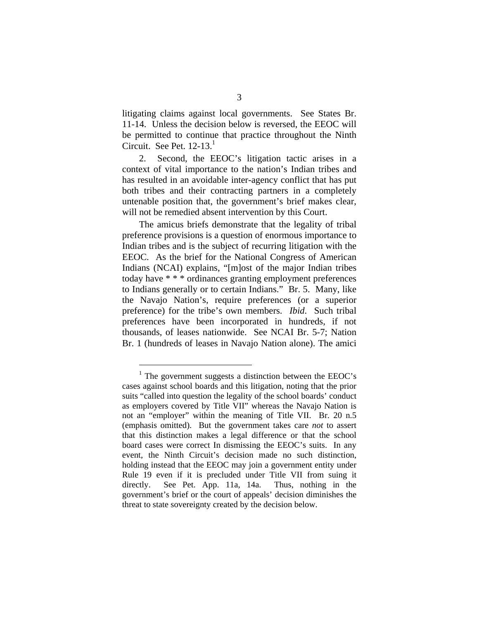litigating claims against local governments. See States Br. 11-14. Unless the decision below is reversed, the EEOC will be permitted to continue that practice throughout the Ninth Circuit. See Pet.  $12-13<sup>1</sup>$ 

2. Second, the EEOC's litigation tactic arises in a context of vital importance to the nation's Indian tribes and has resulted in an avoidable inter-agency conflict that has put both tribes and their contracting partners in a completely untenable position that, the government's brief makes clear, will not be remedied absent intervention by this Court.

The amicus briefs demonstrate that the legality of tribal preference provisions is a question of enormous importance to Indian tribes and is the subject of recurring litigation with the EEOC. As the brief for the National Congress of American Indians (NCAI) explains, "[m]ost of the major Indian tribes today have \* \* \* ordinances granting employment preferences to Indians generally or to certain Indians." Br. 5. Many, like the Navajo Nation's, require preferences (or a superior preference) for the tribe's own members. *Ibid*. Such tribal preferences have been incorporated in hundreds, if not thousands, of leases nationwide. See NCAI Br. 5-7; Nation Br. 1 (hundreds of leases in Navajo Nation alone). The amici

<span id="page-5-0"></span> $<sup>1</sup>$  The government suggests a distinction between the EEOC's</sup> cases against school boards and this litigation, noting that the prior suits "called into question the legality of the school boards' conduct as employers covered by Title VII" whereas the Navajo Nation is not an "employer" within the meaning of Title VII. Br. 20 n.5 (emphasis omitted). But the government takes care *not* to assert that this distinction makes a legal difference or that the school board cases were correct In dismissing the EEOC's suits. In any event, the Ninth Circuit's decision made no such distinction, holding instead that the EEOC may join a government entity under Rule 19 even if it is precluded under Title VII from suing it directly. See Pet. App. 11a, 14a. Thus, nothing in the government's brief or the court of appeals' decision diminishes the threat to state sovereignty created by the decision below.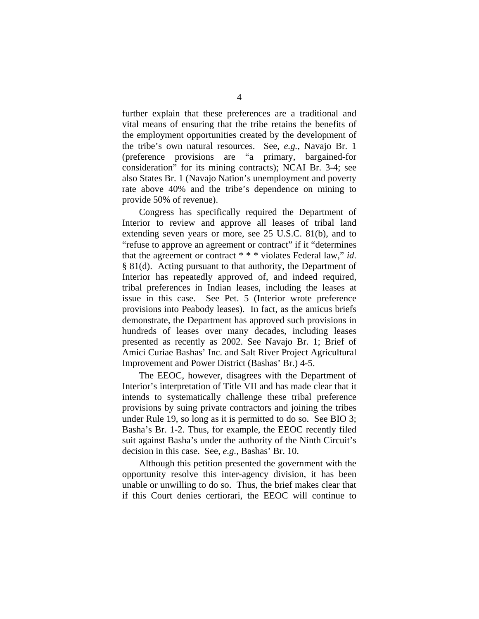further explain that these preferences are a traditional and vital means of ensuring that the tribe retains the benefits of the employment opportunities created by the development of the tribe's own natural resources. See, *e.g.*, Navajo Br. 1 (preference provisions are "a primary, bargained-for consideration" for its mining contracts); NCAI Br. 3-4; see also States Br. 1 (Navajo Nation's unemployment and poverty rate above 40% and the tribe's dependence on mining to provide 50% of revenue).

Congress has specifically required the Department of Interior to review and approve all leases of tribal land extending seven years or more, see 25 U.S.C. 81(b), and to "refuse to approve an agreement or contract" if it "determines that the agreement or contract \* \* \* violates Federal law," *id*. § 81(d). Acting pursuant to that authority, the Department of Interior has repeatedly approved of, and indeed required, tribal preferences in Indian leases, including the leases at issue in this case. See Pet. 5 (Interior wrote preference provisions into Peabody leases). In fact, as the amicus briefs demonstrate, the Department has approved such provisions in hundreds of leases over many decades, including leases presented as recently as 2002. See Navajo Br. 1; Brief of Amici Curiae Bashas' Inc. and Salt River Project Agricultural Improvement and Power District (Bashas' Br.) 4-5.

The EEOC, however, disagrees with the Department of Interior's interpretation of Title VII and has made clear that it intends to systematically challenge these tribal preference provisions by suing private contractors and joining the tribes under Rule 19, so long as it is permitted to do so. See BIO 3; Basha's Br. 1-2. Thus, for example, the EEOC recently filed suit against Basha's under the authority of the Ninth Circuit's decision in this case. See, *e.g.*, Bashas' Br. 10.

Although this petition presented the government with the opportunity resolve this inter-agency division, it has been unable or unwilling to do so. Thus, the brief makes clear that if this Court denies certiorari, the EEOC will continue to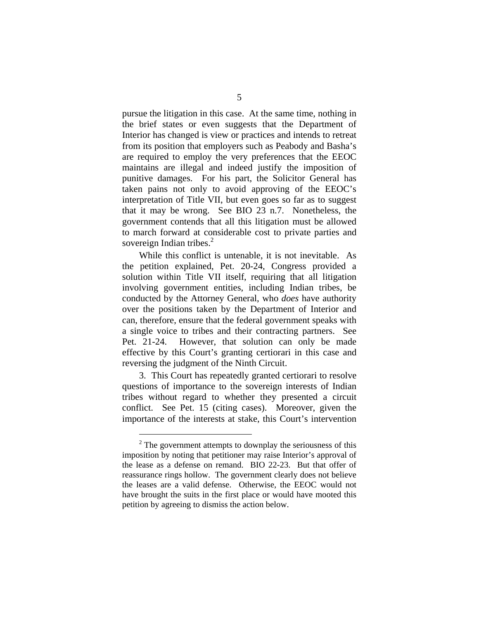pursue the litigation in this case. At the same time, nothing in the brief states or even suggests that the Department of Interior has changed is view or practices and intends to retreat from its position that employers such as Peabody and Basha's are required to employ the very preferences that the EEOC maintains are illegal and indeed justify the imposition of punitive damages. For his part, the Solicitor General has taken pains not only to avoid approving of the EEOC's interpretation of Title VII, but even goes so far as to suggest that it may be wrong. See BIO 23 n.7. Nonetheless, the government contends that all this litigation must be allowed to march forward at considerable cost to private parties and sovereign Indian tribes.<sup>2</sup>

While this conflict is untenable, it is not inevitable. As the petition explained, Pet. 20-24, Congress provided a solution within Title VII itself, requiring that all litigation involving government entities, including Indian tribes, be conducted by the Attorney General, who *does* have authority over the positions taken by the Department of Interior and can, therefore, ensure that the federal government speaks with a single voice to tribes and their contracting partners. See Pet. 21-24. However, that solution can only be made effective by this Court's granting certiorari in this case and reversing the judgment of the Ninth Circuit.

3. This Court has repeatedly granted certiorari to resolve questions of importance to the sovereign interests of Indian tribes without regard to whether they presented a circuit conflict. See Pet. 15 (citing cases). Moreover, given the importance of the interests at stake, this Court's intervention

<span id="page-7-0"></span> $2^2$  The government attempts to downplay the seriousness of this imposition by noting that petitioner may raise Interior's approval of the lease as a defense on remand. BIO 22-23. But that offer of reassurance rings hollow. The government clearly does not believe the leases are a valid defense. Otherwise, the EEOC would not have brought the suits in the first place or would have mooted this petition by agreeing to dismiss the action below.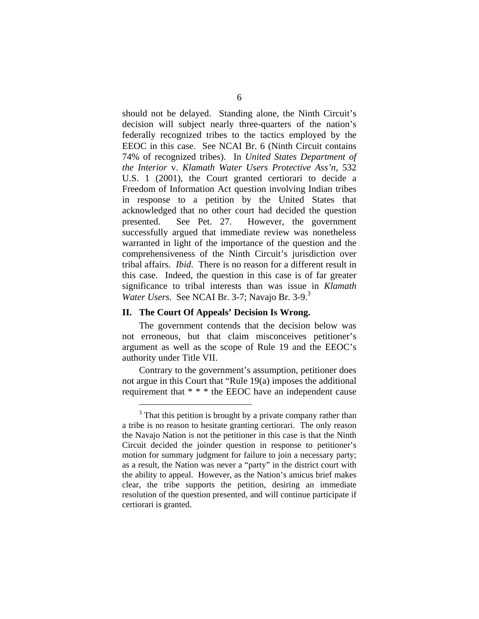<span id="page-8-0"></span>should not be delayed. Standing alone, the Ninth Circuit's decision will subject nearly three-quarters of the nation's federally recognized tribes to the tactics employed by the EEOC in this case. See NCAI Br. 6 (Ninth Circuit contains 74% of recognized tribes). In *United States Department of the Interior* v. *Klamath Water Users Protective Ass'n*, 532 U.S. 1 (2001), the Court granted certiorari to decide a Freedom of Information Act question involving Indian tribes in response to a petition by the United States that acknowledged that no other court had decided the question presented. See Pet. 27. However, the government successfully argued that immediate review was nonetheless warranted in light of the importance of the question and the comprehensiveness of the Ninth Circuit's jurisdiction over tribal affairs. *Ibid*. There is no reason for a different result in this case. Indeed, the question in this case is of far greater significance to tribal interests than was issue in *Klamath Water Users.* See NCAI Br. 3-7; Navajo Br. 3-9.<sup>3</sup>

#### **II. The Court Of Appeals' Decision Is Wrong.**

<span id="page-8-1"></span> $\overline{a}$ 

The government contends that the decision below was not erroneous, but that claim misconceives petitioner's argument as well as the scope of Rule 19 and the EEOC's authority under Title VII.

Contrary to the government's assumption, petitioner does not argue in this Court that "Rule 19(a) imposes the additional requirement that \* \* \* the EEOC have an independent cause

<sup>&</sup>lt;sup>3</sup> That this petition is brought by a private company rather than a tribe is no reason to hesitate granting certiorari. The only reason the Navajo Nation is not the petitioner in this case is that the Ninth Circuit decided the joinder question in response to petitioner's motion for summary judgment for failure to join a necessary party; as a result, the Nation was never a "party" in the district court with the ability to appeal. However, as the Nation's amicus brief makes clear, the tribe supports the petition, desiring an immediate resolution of the question presented, and will continue participate if certiorari is granted.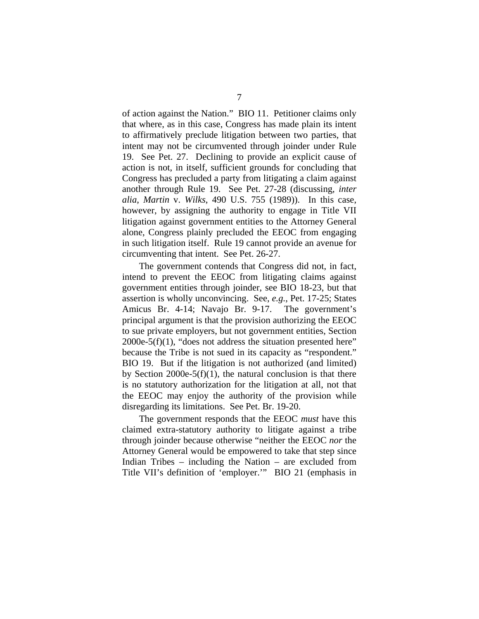of action against the Nation." BIO 11. Petitioner claims only that where, as in this case, Congress has made plain its intent to affirmatively preclude litigation between two parties, that intent may not be circumvented through joinder under Rule 19. See Pet. 27. Declining to provide an explicit cause of action is not, in itself, sufficient grounds for concluding that Congress has precluded a party from litigating a claim against another through Rule 19. See Pet. 27-28 (discussing, *inter alia*, *Martin* v. *Wilks*, 490 U.S. 755 (1989)). In this case, however, by assigning the authority to engage in Title VII litigation against government entities to the Attorney General alone, Congress plainly precluded the EEOC from engaging in such litigation itself. Rule 19 cannot provide an avenue for circumventing that intent. See Pet. 26-27.

The government contends that Congress did not, in fact, intend to prevent the EEOC from litigating claims against government entities through joinder, see BIO 18-23, but that assertion is wholly unconvincing. See, *e.g.*, Pet. 17-25; States Amicus Br. 4-14; Navajo Br. 9-17. The government's principal argument is that the provision authorizing the EEOC to sue private employers, but not government entities, Section 2000e-5(f)(1), "does not address the situation presented here" because the Tribe is not sued in its capacity as "respondent." BIO 19. But if the litigation is not authorized (and limited) by Section 2000e-5(f)(1), the natural conclusion is that there is no statutory authorization for the litigation at all, not that the EEOC may enjoy the authority of the provision while disregarding its limitations. See Pet. Br. 19-20.

The government responds that the EEOC *must* have this claimed extra-statutory authority to litigate against a tribe through joinder because otherwise "neither the EEOC *nor* the Attorney General would be empowered to take that step since Indian Tribes – including the Nation – are excluded from Title VII's definition of 'employer.'" BIO 21 (emphasis in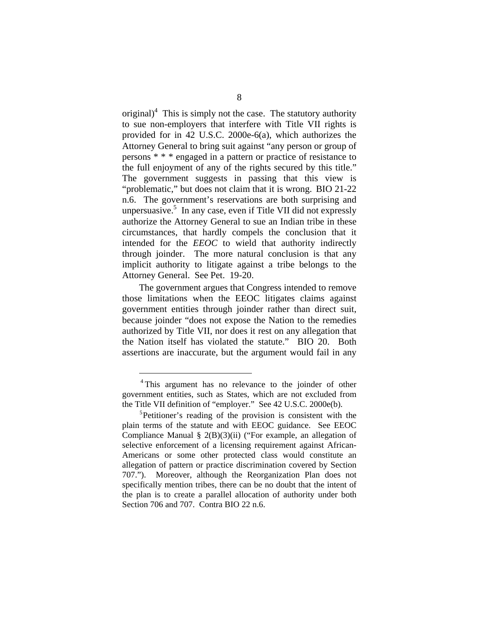original) $<sup>4</sup>$  This is simply not the case. The statutory authority</sup> to sue non-employers that interfere with Title VII rights is provided for in 42 U.S.C. 2000e-6(a), which authorizes the Attorney General to bring suit against "any person or group of persons \* \* \* engaged in a pattern or practice of resistance to the full enjoyment of any of the rights secured by this title." The government suggests in passing that this view is "problematic," but does not claim that it is wrong. BIO 21-22 n.6. The government's reservations are both surprising and unpersuasive.<sup>5</sup>In any case, even if Title VII did not expressly authorize the Attorney General to sue an Indian tribe in these circumstances, that hardly compels the conclusion that it intended for the *EEOC* to wield that authority indirectly through joinder. The more natural conclusion is that any implicit authority to litigate against a tribe belongs to the Attorney General. See Pet. 19-20.

The government argues that Congress intended to remove those limitations when the EEOC litigates claims against government entities through joinder rather than direct suit, because joinder "does not expose the Nation to the remedies authorized by Title VII, nor does it rest on any allegation that the Nation itself has violated the statute." BIO 20. Both assertions are inaccurate, but the argument would fail in any

<span id="page-10-0"></span><sup>&</sup>lt;sup>4</sup>This argument has no relevance to the joinder of other government entities, such as States, which are not excluded from the Title VII definition of "employer." See 42 U.S.C. 2000e(b).

<span id="page-10-1"></span><sup>&</sup>lt;sup>5</sup>Petitioner's reading of the provision is consistent with the plain terms of the statute and with EEOC guidance. See EEOC Compliance Manual § 2(B)(3)(ii) ("For example, an allegation of selective enforcement of a licensing requirement against African-Americans or some other protected class would constitute an allegation of pattern or practice discrimination covered by Section 707."). Moreover, although the Reorganization Plan does not specifically mention tribes, there can be no doubt that the intent of the plan is to create a parallel allocation of authority under both Section 706 and 707. Contra BIO 22 n.6.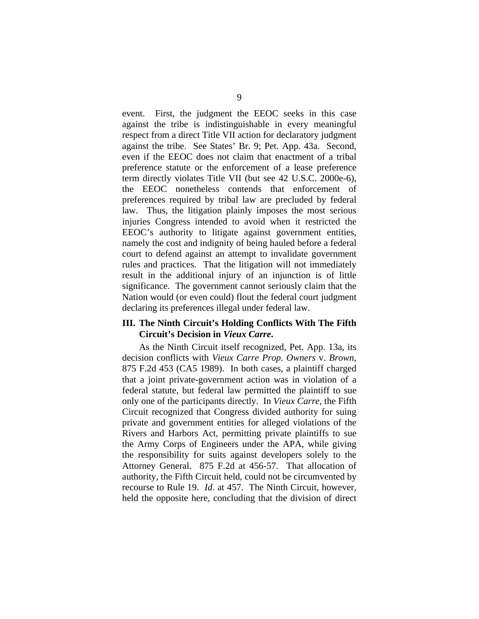<span id="page-11-0"></span>event. First, the judgment the EEOC seeks in this case against the tribe is indistinguishable in every meaningful respect from a direct Title VII action for declaratory judgment against the tribe. See States' Br. 9; Pet. App. 43a. Second, even if the EEOC does not claim that enactment of a tribal preference statute or the enforcement of a lease preference term directly violates Title VII (but see 42 U.S.C. 2000e-6), the EEOC nonetheless contends that enforcement of preferences required by tribal law are precluded by federal law. Thus, the litigation plainly imposes the most serious injuries Congress intended to avoid when it restricted the EEOC's authority to litigate against government entities, namely the cost and indignity of being hauled before a federal court to defend against an attempt to invalidate government rules and practices. That the litigation will not immediately result in the additional injury of an injunction is of little significance. The government cannot seriously claim that the Nation would (or even could) flout the federal court judgment declaring its preferences illegal under federal law.

#### **III. The Ninth Circuit's Holding Conflicts With The Fifth Circuit's Decision in** *Vieux Carre***.**

As the Ninth Circuit itself recognized, Pet. App. 13a, its decision conflicts with *Vieux Carre Prop. Owners* v. *Brown*, 875 F.2d 453 (CA5 1989). In both cases, a plaintiff charged that a joint private-government action was in violation of a federal statute, but federal law permitted the plaintiff to sue only one of the participants directly. In *Vieux Carre*, the Fifth Circuit recognized that Congress divided authority for suing private and government entities for alleged violations of the Rivers and Harbors Act, permitting private plaintiffs to sue the Army Corps of Engineers under the APA, while giving the responsibility for suits against developers solely to the Attorney General. 875 F.2d at 456-57. That allocation of authority, the Fifth Circuit held, could not be circumvented by recourse to Rule 19. *Id*. at 457. The Ninth Circuit, however, held the opposite here, concluding that the division of direct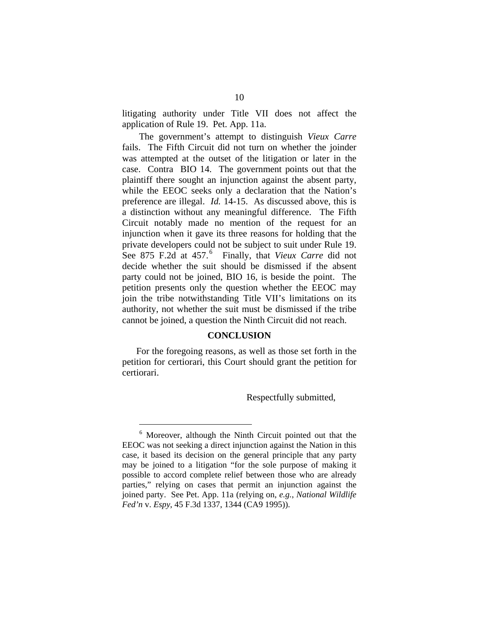<span id="page-12-0"></span>litigating authority under Title VII does not affect the application of Rule 19. Pet. App. 11a.

The government's attempt to distinguish *Vieux Carre*  fails. The Fifth Circuit did not turn on whether the joinder was attempted at the outset of the litigation or later in the case. Contra BIO 14. The government points out that the plaintiff there sought an injunction against the absent party, while the EEOC seeks only a declaration that the Nation's preference are illegal. *Id.* 14-15. As discussed above, this is a distinction without any meaningful difference. The Fifth Circuit notably made no mention of the request for an injunction when it gave its three reasons for holding that the private developers could not be subject to suit under Rule 19. See875 F.2d at 457.<sup>6</sup> Finally, that *Vieux Carre* did not decide whether the suit should be dismissed if the absent party could not be joined, BIO 16, is beside the point. The petition presents only the question whether the EEOC may join the tribe notwithstanding Title VII's limitations on its authority, not whether the suit must be dismissed if the tribe cannot be joined, a question the Ninth Circuit did not reach.

#### **CONCLUSION**

For the foregoing reasons, as well as those set forth in the petition for certiorari, this Court should grant the petition for certiorari.

Respectfully submitted,

<span id="page-12-1"></span><sup>6</sup> Moreover, although the Ninth Circuit pointed out that the EEOC was not seeking a direct injunction against the Nation in this case, it based its decision on the general principle that any party may be joined to a litigation "for the sole purpose of making it possible to accord complete relief between those who are already parties," relying on cases that permit an injunction against the joined party. See Pet. App. 11a (relying on, *e.g.*, *National Wildlife Fed'n* v. *Espy*, 45 F.3d 1337, 1344 (CA9 1995)).